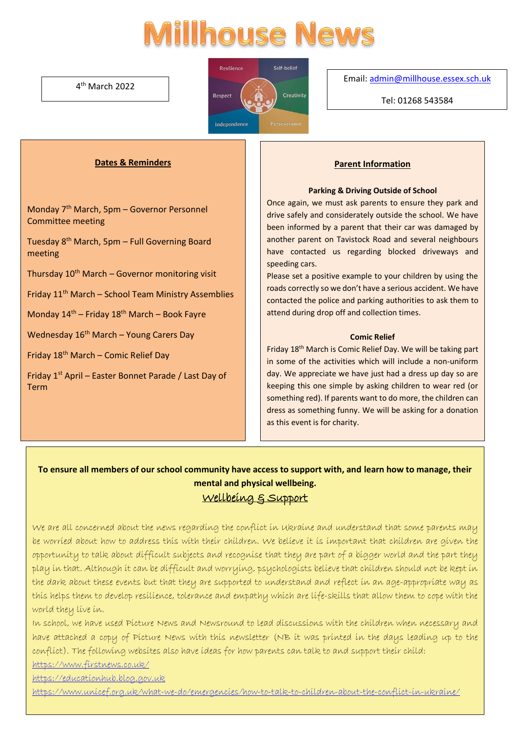# **Ilhouse News**

4 th March 2022



Email[: admin@millhouse.essex.sch.uk](mailto:admin@millhouse.essex.sch.uk)

Tel: 01268 543584

## **Dates & Reminders**

Monday 7th March, 5pm – Governor Personnel Committee meeting

Tuesday 8th March, 5pm – Full Governing Board meeting

Thursday  $10<sup>th</sup>$  March – Governor monitoring visit

Friday  $11<sup>th</sup>$  March – School Team Ministry Assemblies

Monday 14<sup>th</sup> – Friday 18<sup>th</sup> March – Book Fayre

Wednesday 16<sup>th</sup> March – Young Carers Day

Friday 18th March – Comic Relief Day

Friday 1<sup>st</sup> April – Easter Bonnet Parade / Last Day of Term

#### **Parent Information**

#### **Parking & Driving Outside of School**

Once again, we must ask parents to ensure they park and drive safely and considerately outside the school. We have been informed by a parent that their car was damaged by another parent on Tavistock Road and several neighbours have contacted us regarding blocked driveways and speeding cars.

Please set a positive example to your children by using the roads correctly so we don't have a serious accident. We have contacted the police and parking authorities to ask them to attend during drop off and collection times.

#### **Comic Relief**

Friday 18th March is Comic Relief Day. We will be taking part in some of the activities which will include a non-uniform day. We appreciate we have just had a dress up day so are keeping this one simple by asking children to wear red (or something red). If parents want to do more, the children can dress as something funny. We will be asking for a donation as this event is for charity.

# **To ensure all members of our school community have access to support with, and learn how to manage, their mental and physical wellbeing.** Wellbeing & Support

We are all concerned about the news regarding the conflict in Ukraine and understand that some parents may be worried about how to address this with their children. We believe it is important that children are given the opportunity to talk about difficult subjects and recognise that they are part of a bigger world and the part they play in that. Although it can be difficult and worrying, psychologists believe that children should not be kept in the dark about these events but that they are supported to understand and reflect in an age-appropriate way as this helps them to develop resilience, tolerance and empathy which are life-skills that allow them to cope with the world they live in.

In school, we have used Picture News and Newsround to lead discussions with the children when necessary and have attached a copy of Picture News with this newsletter (NB it was printed in the days leading up to the conflict). The following websites also have ideas for how parents can talk to and support their child:

<https://www.firstnews.co.uk/>

[https://educationhub.blog.gov.uk](https://educationhub.blog.gov.uk/2022/02/25/help-for-teachers-and-families-to-talk-to-pupils-about-russias-invasion-of-ukraine-and-how-to-help-them-avoid-)

<https://www.unicef.org.uk/what-we-do/emergencies/how-to-talk-to-children-about-the-conflict-in-ukraine/>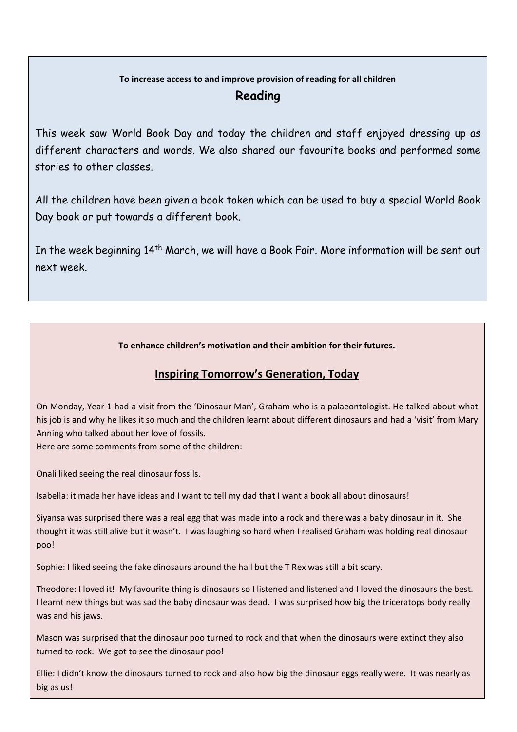# **To increase access to and improve provision of reading for all children**

# **Reading**

This week saw World Book Day and today the children and staff enjoyed dressing up as different characters and words. We also shared our favourite books and performed some stories to other classes.

All the children have been given a book token which can be used to buy a special World Book Day book or put towards a different book.

In the week beginning 14<sup>th</sup> March, we will have a Book Fair. More information will be sent out next week.

**To enhance children's motivation and their ambition for their futures.** 

# **Inspiring Tomorrow's Generation, Today**

On Monday, Year 1 had a visit from the 'Dinosaur Man', Graham who is a palaeontologist. He talked about what his job is and why he likes it so much and the children learnt about different dinosaurs and had a 'visit' from Mary Anning who talked about her love of fossils.

Here are some comments from some of the children:

Onali liked seeing the real dinosaur fossils.

Isabella: it made her have ideas and I want to tell my dad that I want a book all about dinosaurs!

Siyansa was surprised there was a real egg that was made into a rock and there was a baby dinosaur in it. She thought it was still alive but it wasn't. I was laughing so hard when I realised Graham was holding real dinosaur poo!

Sophie: I liked seeing the fake dinosaurs around the hall but the T Rex was still a bit scary.

Theodore: I loved it! My favourite thing is dinosaurs so I listened and listened and I loved the dinosaurs the best. I learnt new things but was sad the baby dinosaur was dead. I was surprised how big the triceratops body really was and his jaws.

Mason was surprised that the dinosaur poo turned to rock and that when the dinosaurs were extinct they also turned to rock. We got to see the dinosaur poo!

Ellie: I didn't know the dinosaurs turned to rock and also how big the dinosaur eggs really were. It was nearly as big as us!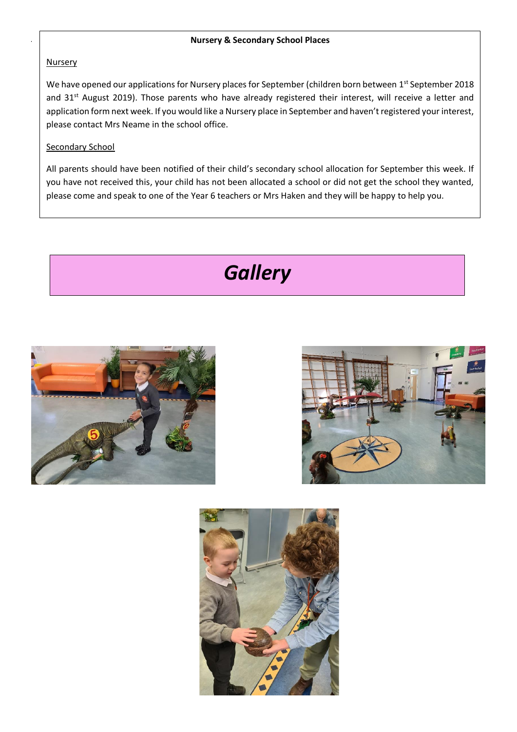#### **Nursery & Secondary School Places**

## Nursery

We have opened our applications for Nursery places for September (children born between 1st September 2018 and 31<sup>st</sup> August 2019). Those parents who have already registered their interest, will receive a letter and application form next week. If you would like a Nursery place in September and haven't registered your interest, please contact Mrs Neame in the school office.

## Secondary School

All parents should have been notified of their child's secondary school allocation for September this week. If you have not received this, your child has not been allocated a school or did not get the school they wanted, please come and speak to one of the Year 6 teachers or Mrs Haken and they will be happy to help you.